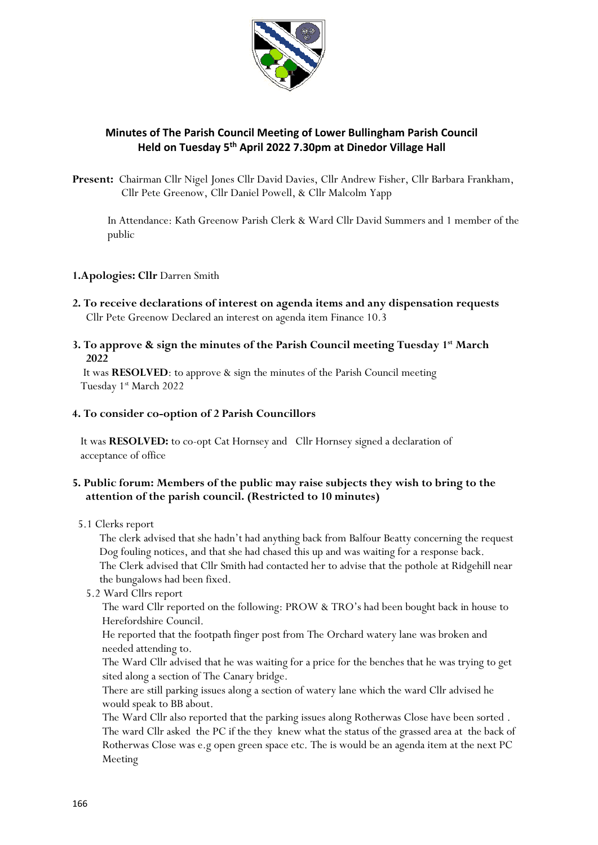

# **Minutes of The Parish Council Meeting of Lower Bullingham Parish Council Held on Tuesday 5 th April 2022 7.30pm at Dinedor Village Hall**

**Present:** Chairman Cllr Nigel Jones Cllr David Davies, Cllr Andrew Fisher, Cllr Barbara Frankham, Cllr Pete Greenow, Cllr Daniel Powell, & Cllr Malcolm Yapp

 In Attendance: Kath Greenow Parish Clerk & Ward Cllr David Summers and 1 member of the public

#### **1.Apologies: Cllr** Darren Smith

- **2. To receive declarations of interest on agenda items and any dispensation requests** Cllr Pete Greenow Declared an interest on agenda item Finance 10.3
- **3. To approve & sign the minutes of the Parish Council meeting Tuesday 1 st March 2022**

 It was **RESOLVED**: to approve & sign the minutes of the Parish Council meeting Tuesday 1 st March 2022

## **4. To consider co-option of 2 Parish Councillors**

 It was **RESOLVED:** to co-opt Cat Hornsey and Cllr Hornsey signed a declaration of acceptance of office

## **5. Public forum: Members of the public may raise subjects they wish to bring to the attention of the parish council. (Restricted to 10 minutes)**

5.1 Clerks report

 The clerk advised that she hadn't had anything back from Balfour Beatty concerning the request Dog fouling notices, and that she had chased this up and was waiting for a response back. The Clerk advised that Cllr Smith had contacted her to advise that the pothole at Ridgehill near the bungalows had been fixed.

5.2 Ward Cllrs report

 The ward Cllr reported on the following: PROW & TRO's had been bought back in house to Herefordshire Council.

 He reported that the footpath finger post from The Orchard watery lane was broken and needed attending to.

 The Ward Cllr advised that he was waiting for a price for the benches that he was trying to get sited along a section of The Canary bridge.

 There are still parking issues along a section of watery lane which the ward Cllr advised he would speak to BB about.

 The Ward Cllr also reported that the parking issues along Rotherwas Close have been sorted . The ward Cllr asked the PC if the they knew what the status of the grassed area at the back of Rotherwas Close was e.g open green space etc. The is would be an agenda item at the next PC Meeting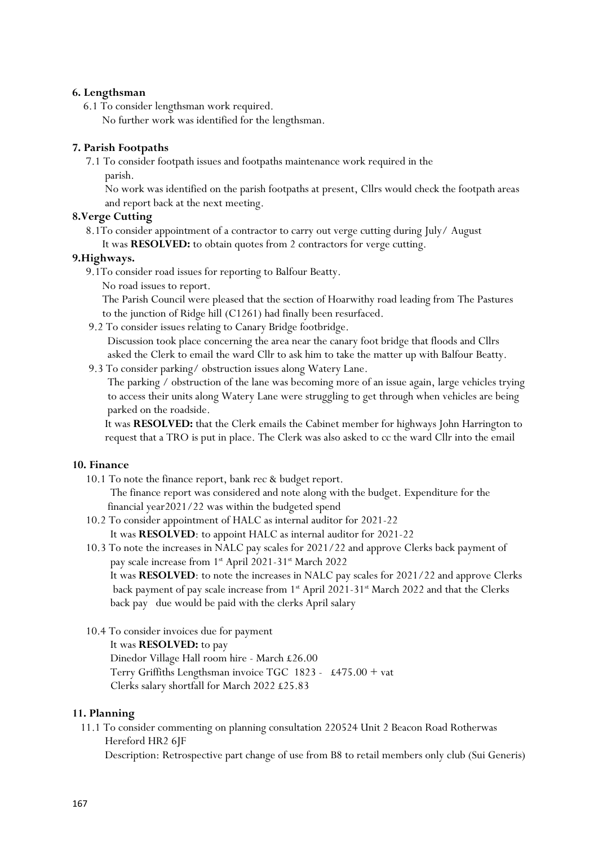#### **6. Lengthsman**

- 6.1 To consider lengthsman work required.
	- No further work was identified for the lengthsman.

# **7. Parish Footpaths**

7.1 To consider footpath issues and footpaths maintenance work required in the parish.

 No work was identified on the parish footpaths at present, Cllrs would check the footpath areas and report back at the next meeting.

## **8.Verge Cutting**

 8.1To consider appointment of a contractor to carry out verge cutting during July/ August It was **RESOLVED:** to obtain quotes from 2 contractors for verge cutting.

#### **9.Highways.**

- 9.1To consider road issues for reporting to Balfour Beatty.
	- No road issues to report.

 The Parish Council were pleased that the section of Hoarwithy road leading from The Pastures to the junction of Ridge hill (C1261) had finally been resurfaced.

9.2 To consider issues relating to Canary Bridge footbridge.

 Discussion took place concerning the area near the canary foot bridge that floods and Cllrs asked the Clerk to email the ward Cllr to ask him to take the matter up with Balfour Beatty.

9.3 To consider parking/ obstruction issues along Watery Lane.

 The parking / obstruction of the lane was becoming more of an issue again, large vehicles trying to access their units along Watery Lane were struggling to get through when vehicles are being parked on the roadside.

 It was **RESOLVED:** that the Clerk emails the Cabinet member for highways John Harrington to request that a TRO is put in place. The Clerk was also asked to cc the ward Cllr into the email

## **10. Finance**

10.1 To note the finance report, bank rec & budget report.

 The finance report was considered and note along with the budget. Expenditure for the financial year2021/22 was within the budgeted spend

- 10.2 To consider appointment of HALC as internal auditor for 2021-22 It was **RESOLVED**: to appoint HALC as internal auditor for 2021-22
- 10.3 To note the increases in NALC pay scales for 2021/22 and approve Clerks back payment of pay scale increase from 1<sup>st</sup> April 2021-31<sup>st</sup> March 2022

 It was **RESOLVED**: to note the increases in NALC pay scales for 2021/22 and approve Clerks back payment of pay scale increase from  $1<sup>st</sup>$  April 2021-31 $<sup>st</sup>$  March 2022 and that the Clerks</sup> back pay due would be paid with the clerks April salary

10.4 To consider invoices due for payment

It was **RESOLVED:** to pay

 Dinedor Village Hall room hire - March £26.00 Terry Griffiths Lengthsman invoice TGC 1823 - £475.00 + vat Clerks salary shortfall for March 2022 £25.83

## **11. Planning**

 11.1 To consider commenting on planning consultation 220524 Unit 2 Beacon Road Rotherwas Hereford HR2 6JF

Description: Retrospective part change of use from B8 to retail members only club (Sui Generis)